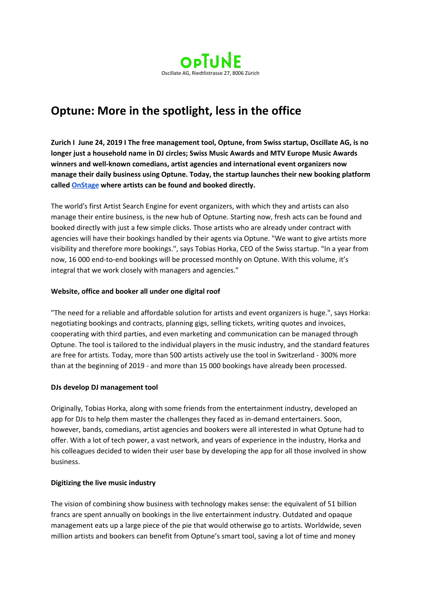

# **Optune: More in the spotlight, less in the office**

**Zurich I June 24, 2019 I The free management tool, Optune, from Swiss startup, Oscillate AG, is no longer just a household name in DJ circles; Swiss Music Awards and MTV Europe Music Awards winners and well-known comedians, artist agencies and international event organizers now manage their daily business using Optune. Today, the startup launches their new booking platform called [OnStage](http://www.onstage.show/) where artists can be found and booked directly.**

The world's first Artist Search Engine for event organizers, with which they and artists can also manage their entire business, is the new hub of Optune. Starting now, fresh acts can be found and booked directly with just a few simple clicks. Those artists who are already under contract with agencies will have their bookings handled by their agents via Optune. "We want to give artists more visibility and therefore more bookings.", says Tobias Horka, CEO of the Swiss startup. "In a year from now, 16 000 end-to-end bookings will be processed monthly on Optune. With this volume, it's integral that we work closely with managers and agencies."

## **Website, office and booker all under one digital roof**

"The need for a reliable and affordable solution for artists and event organizers is huge.", says Horka: negotiating bookings and contracts, planning gigs, selling tickets, writing quotes and invoices, cooperating with third parties, and even marketing and communication can be managed through Optune. The tool is tailored to the individual players in the music industry, and the standard features are free for artists. Today, more than 500 artists actively use the tool in Switzerland - 300% more than at the beginning of 2019 - and more than 15 000 bookings have already been processed.

## **DJs develop DJ management tool**

Originally, Tobias Horka, along with some friends from the entertainment industry, developed an app for DJs to help them master the challenges they faced as in-demand entertainers. Soon, however, bands, comedians, artist agencies and bookers were all interested in what Optune had to offer. With a lot of tech power, a vast network, and years of experience in the industry, Horka and his colleagues decided to widen their user base by developing the app for all those involved in show business.

## **Digitizing the live music industry**

The vision of combining show business with technology makes sense: the equivalent of 51 billion francs are spent annually on bookings in the live entertainment industry. Outdated and opaque management eats up a large piece of the pie that would otherwise go to artists. Worldwide, seven million artists and bookers can benefit from Optune's smart tool, saving a lot of time and money